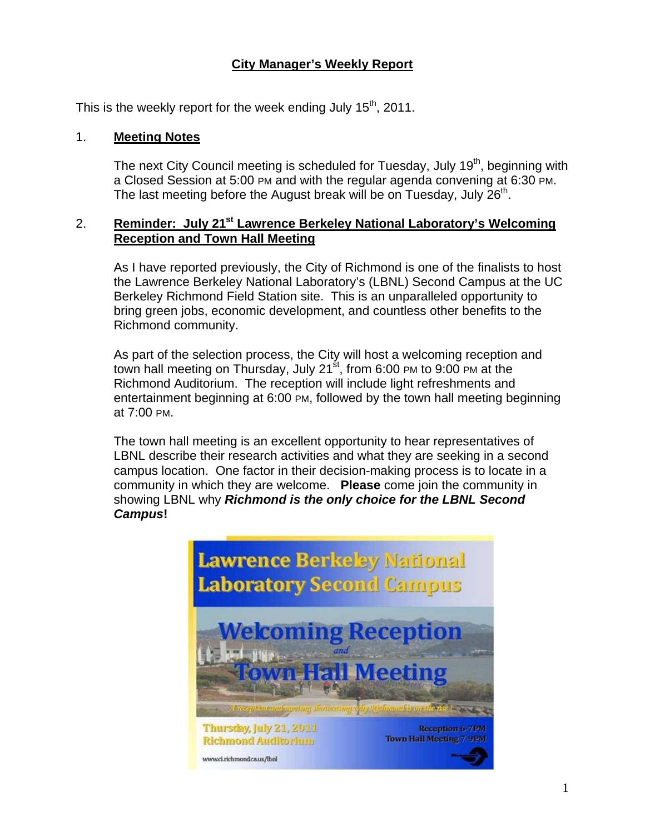## **City Manager's Weekly Report**

This is the weekly report for the week ending July  $15<sup>th</sup>$ , 2011.

#### 1. **Meeting Notes**

The next City Council meeting is scheduled for Tuesday, July 19<sup>th</sup>, beginning with a Closed Session at 5:00 PM and with the regular agenda convening at 6:30 PM. The last meeting before the August break will be on Tuesday, July  $26<sup>th</sup>$ .

### 2. **Reminder: July 21st Lawrence Berkeley National Laboratory's Welcoming Reception and Town Hall Meeting**

As I have reported previously, the City of Richmond is one of the finalists to host the Lawrence Berkeley National Laboratory's (LBNL) Second Campus at the UC Berkeley Richmond Field Station site. This is an unparalleled opportunity to bring green jobs, economic development, and countless other benefits to the Richmond community.

As part of the selection process, the City will host a welcoming reception and town hall meeting on Thursday, July 21 $\mathrm{st}$ , from 6:00 PM to 9:00 PM at the Richmond Auditorium. The reception will include light refreshments and entertainment beginning at 6:00 PM, followed by the town hall meeting beginning at 7:00 PM.

The town hall meeting is an excellent opportunity to hear representatives of LBNL describe their research activities and what they are seeking in a second campus location. One factor in their decision-making process is to locate in a community in which they are welcome. **Please** come join the community in showing LBNL why *Richmond is the only choice for the LBNL Second Campus***!**

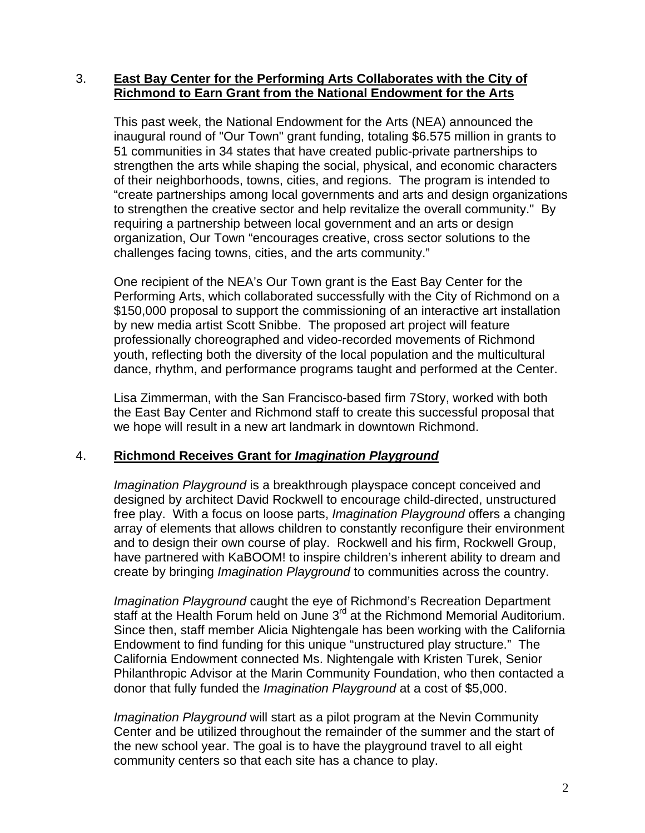### 3. **East Bay Center for the Performing Arts Collaborates with the City of Richmond to Earn Grant from the National Endowment for the Arts**

This past week, the National Endowment for the Arts (NEA) announced the inaugural round of "Our Town" grant funding, totaling \$6.575 million in grants to 51 communities in 34 states that have created public-private partnerships to strengthen the arts while shaping the social, physical, and economic characters of their neighborhoods, towns, cities, and regions. The program is intended to "create partnerships among local governments and arts and design organizations to strengthen the creative sector and help revitalize the overall community." By requiring a partnership between local government and an arts or design organization, Our Town "encourages creative, cross sector solutions to the challenges facing towns, cities, and the arts community."

One recipient of the NEA's Our Town grant is the East Bay Center for the Performing Arts, which collaborated successfully with the City of Richmond on a \$150,000 proposal to support the commissioning of an interactive art installation by new media artist Scott Snibbe. The proposed art project will feature professionally choreographed and video-recorded movements of Richmond youth, reflecting both the diversity of the local population and the multicultural dance, rhythm, and performance programs taught and performed at the Center.

Lisa Zimmerman, with the San Francisco-based firm 7Story, worked with both the East Bay Center and Richmond staff to create this successful proposal that we hope will result in a new art landmark in downtown Richmond.

#### 4. **Richmond Receives Grant for** *Imagination Playground*

*Imagination Playground* is a breakthrough playspace concept conceived and designed by architect David Rockwell to encourage child-directed, unstructured free play. With a focus on loose parts, *Imagination Playground* offers a changing array of elements that allows children to constantly reconfigure their environment and to design their own course of play. Rockwell and his firm, Rockwell Group, have partnered with KaBOOM! to inspire children's inherent ability to dream and create by bringing *Imagination Playground* to communities across the country.

*Imagination Playground* caught the eye of Richmond's Recreation Department staff at the Health Forum held on June 3<sup>rd</sup> at the Richmond Memorial Auditorium. Since then, staff member Alicia Nightengale has been working with the California Endowment to find funding for this unique "unstructured play structure." The California Endowment connected Ms. Nightengale with Kristen Turek, Senior Philanthropic Advisor at the Marin Community Foundation, who then contacted a donor that fully funded the *Imagination Playground* at a cost of \$5,000.

*Imagination Playground* will start as a pilot program at the Nevin Community Center and be utilized throughout the remainder of the summer and the start of the new school year. The goal is to have the playground travel to all eight community centers so that each site has a chance to play.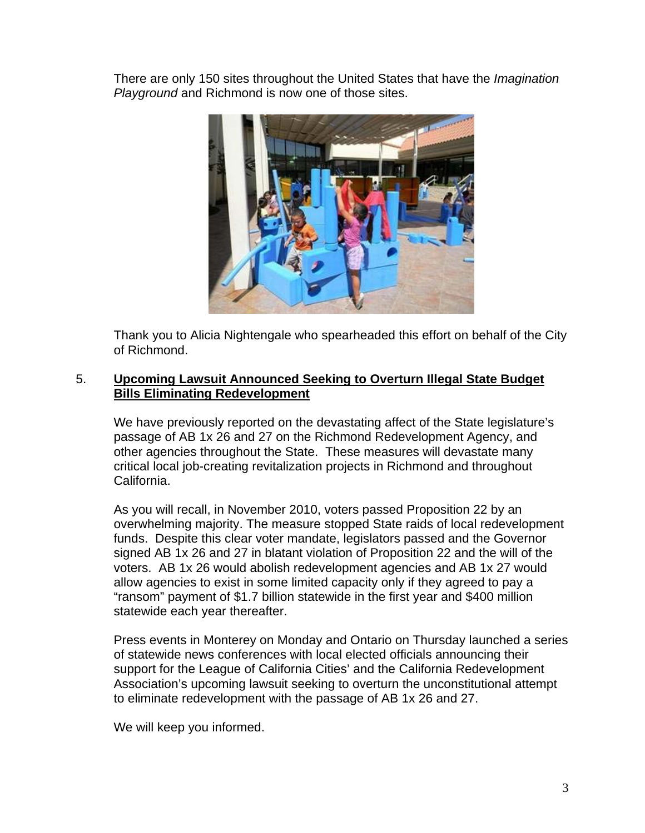There are only 150 sites throughout the United States that have the *Imagination Playground* and Richmond is now one of those sites.



Thank you to Alicia Nightengale who spearheaded this effort on behalf of the City of Richmond.

#### 5. **Upcoming Lawsuit Announced Seeking to Overturn Illegal State Budget Bills Eliminating Redevelopment**

We have previously reported on the devastating affect of the State legislature's passage of AB 1x 26 and 27 on the Richmond Redevelopment Agency, and other agencies throughout the State. These measures will devastate many critical local job-creating revitalization projects in Richmond and throughout California.

As you will recall, in November 2010, voters passed Proposition 22 by an overwhelming majority. The measure stopped State raids of local redevelopment funds. Despite this clear voter mandate, legislators passed and the Governor signed AB 1x 26 and 27 in blatant violation of Proposition 22 and the will of the voters. AB 1x 26 would abolish redevelopment agencies and AB 1x 27 would allow agencies to exist in some limited capacity only if they agreed to pay a "ransom" payment of \$1.7 billion statewide in the first year and \$400 million statewide each year thereafter.

Press events in Monterey on Monday and Ontario on Thursday launched a series of statewide news conferences with local elected officials announcing their support for the League of California Cities' and the California Redevelopment Association's upcoming lawsuit seeking to overturn the unconstitutional attempt to eliminate redevelopment with the passage of AB 1x 26 and 27.

We will keep you informed.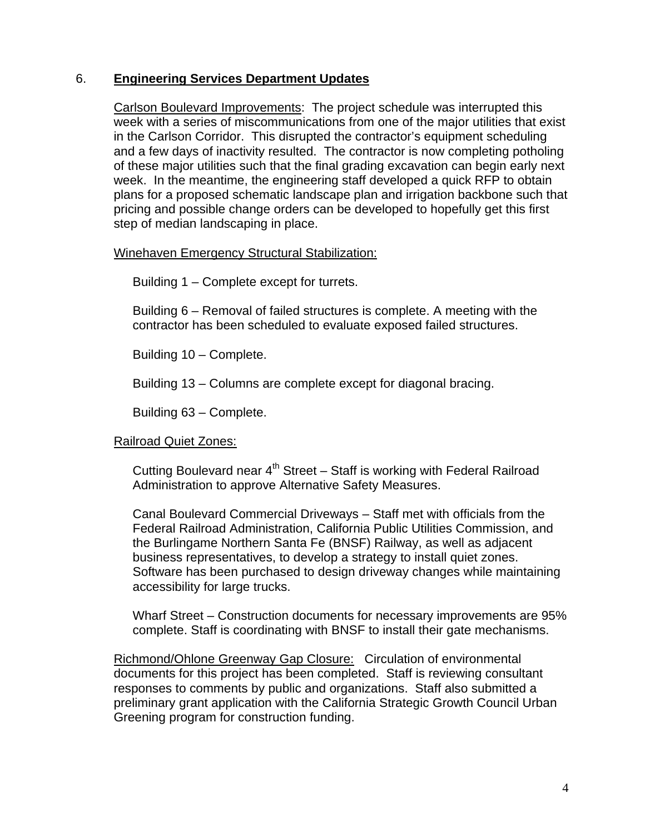#### 6. **Engineering Services Department Updates**

Carlson Boulevard Improvements: The project schedule was interrupted this week with a series of miscommunications from one of the major utilities that exist in the Carlson Corridor. This disrupted the contractor's equipment scheduling and a few days of inactivity resulted. The contractor is now completing potholing of these major utilities such that the final grading excavation can begin early next week. In the meantime, the engineering staff developed a quick RFP to obtain plans for a proposed schematic landscape plan and irrigation backbone such that pricing and possible change orders can be developed to hopefully get this first step of median landscaping in place.

#### Winehaven Emergency Structural Stabilization:

Building 1 – Complete except for turrets.

Building 6 – Removal of failed structures is complete. A meeting with the contractor has been scheduled to evaluate exposed failed structures.

Building 10 – Complete.

Building 13 – Columns are complete except for diagonal bracing.

Building 63 – Complete.

#### Railroad Quiet Zones:

Cutting Boulevard near  $4<sup>th</sup>$  Street – Staff is working with Federal Railroad Administration to approve Alternative Safety Measures.

Canal Boulevard Commercial Driveways – Staff met with officials from the Federal Railroad Administration, California Public Utilities Commission, and the Burlingame Northern Santa Fe (BNSF) Railway, as well as adjacent business representatives, to develop a strategy to install quiet zones. Software has been purchased to design driveway changes while maintaining accessibility for large trucks.

Wharf Street – Construction documents for necessary improvements are 95% complete. Staff is coordinating with BNSF to install their gate mechanisms.

Richmond/Ohlone Greenway Gap Closure: Circulation of environmental documents for this project has been completed. Staff is reviewing consultant responses to comments by public and organizations. Staff also submitted a preliminary grant application with the California Strategic Growth Council Urban Greening program for construction funding.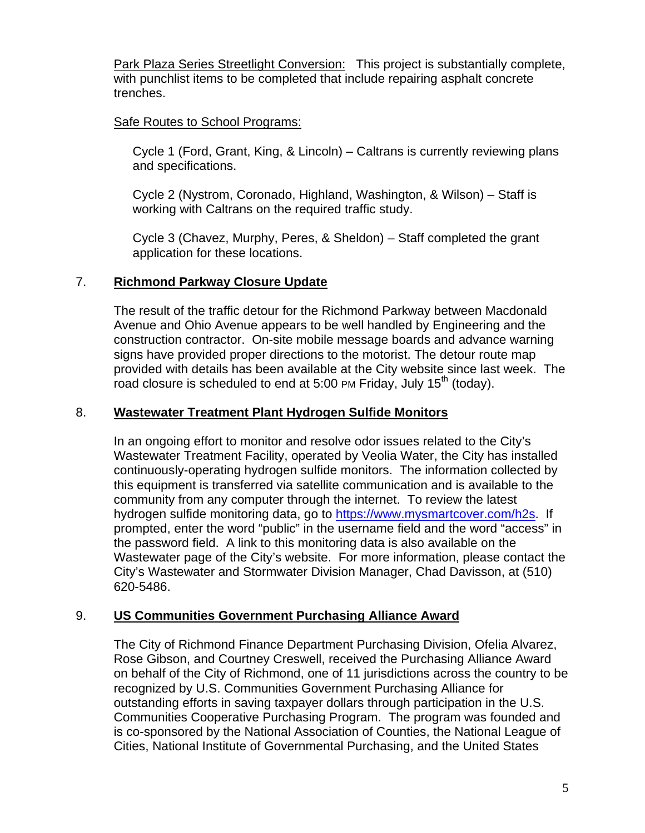Park Plaza Series Streetlight Conversion: This project is substantially complete, with punchlist items to be completed that include repairing asphalt concrete trenches.

## Safe Routes to School Programs:

Cycle 1 (Ford, Grant, King, & Lincoln) – Caltrans is currently reviewing plans and specifications.

Cycle 2 (Nystrom, Coronado, Highland, Washington, & Wilson) – Staff is working with Caltrans on the required traffic study.

Cycle 3 (Chavez, Murphy, Peres, & Sheldon) – Staff completed the grant application for these locations.

## 7. **Richmond Parkway Closure Update**

The result of the traffic detour for the Richmond Parkway between Macdonald Avenue and Ohio Avenue appears to be well handled by Engineering and the construction contractor. On-site mobile message boards and advance warning signs have provided proper directions to the motorist. The detour route map provided with details has been available at the City website since last week. The road closure is scheduled to end at 5:00 PM Friday, July 15<sup>th</sup> (today).

### 8. **Wastewater Treatment Plant Hydrogen Sulfide Monitors**

In an ongoing effort to monitor and resolve odor issues related to the City's Wastewater Treatment Facility, operated by Veolia Water, the City has installed continuously-operating hydrogen sulfide monitors. The information collected by this equipment is transferred via satellite communication and is available to the community from any computer through the internet. To review the latest hydrogen sulfide monitoring data, go to <https://www.mysmartcover.com/h2s>. If prompted, enter the word "public" in the username field and the word "access" in the password field. A link to this monitoring data is also available on the Wastewater page of the City's website. For more information, please contact the City's Wastewater and Stormwater Division Manager, Chad Davisson, at (510) 620-5486.

## 9. **US Communities Government Purchasing Alliance Award**

The City of Richmond Finance Department Purchasing Division, Ofelia Alvarez, Rose Gibson, and Courtney Creswell, received the Purchasing Alliance Award on behalf of the City of Richmond, one of 11 jurisdictions across the country to be recognized by U.S. Communities Government Purchasing Alliance for outstanding efforts in saving taxpayer dollars through participation in the U.S. Communities Cooperative Purchasing Program. The program was founded and is co-sponsored by the National Association of Counties, the National League of Cities, National Institute of Governmental Purchasing, and the United States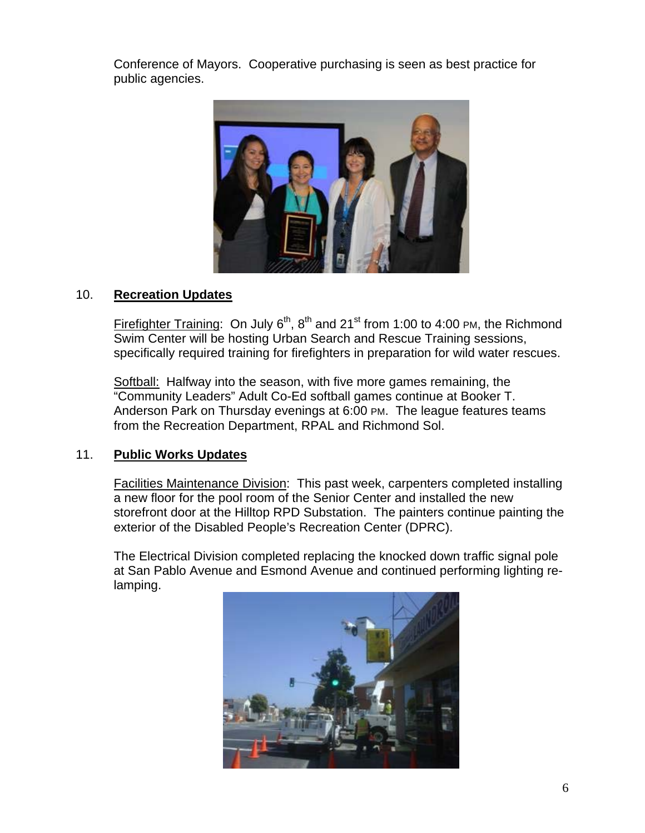Conference of Mayors. Cooperative purchasing is seen as best practice for public agencies.



## 10. **Recreation Updates**

Firefighter Training: On July  $6<sup>th</sup>$ ,  $8<sup>th</sup>$  and  $21<sup>st</sup>$  from 1:00 to 4:00 PM, the Richmond Swim Center will be hosting Urban Search and Rescue Training sessions, specifically required training for firefighters in preparation for wild water rescues.

Softball: Halfway into the season, with five more games remaining, the "Community Leaders" Adult Co-Ed softball games continue at Booker T. Anderson Park on Thursday evenings at 6:00 PM. The league features teams from the Recreation Department, RPAL and Richmond Sol.

#### 11. **Public Works Updates**

Facilities Maintenance Division: This past week, carpenters completed installing a new floor for the pool room of the Senior Center and installed the new storefront door at the Hilltop RPD Substation. The painters continue painting the exterior of the Disabled People's Recreation Center (DPRC).

The Electrical Division completed replacing the knocked down traffic signal pole at San Pablo Avenue and Esmond Avenue and continued performing lighting relamping.